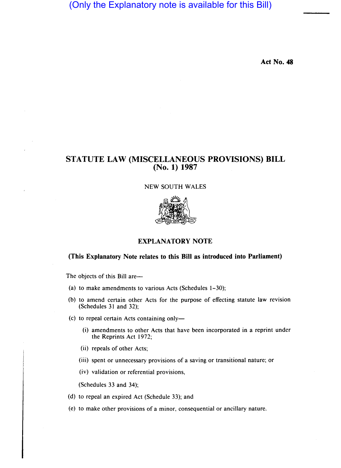(Only the Explanatory note is available for this Bill)

**Act No. 48** 

# **STATUTE LAW (MISCELLANEOUS PROVISIONS) BILL (No. 1) 1987**

## NEW SOUTH WALES



## **EXPLANATORY NOTE**

#### **(This Explanatory Note relates to this Bill as introduced into Parliament)**

The objects of this Bill are-

- (a) to make amendments to various Acts (Schedules 1-30);
- (b) to amend certain other Acts for the purpose of effecting statute law revision (Schedules 31 and 32);
- (c) to repeal certain Acts containing only-
	- (i) amendments to other Acts that have been incorporated in a reprint under the Reprints Act 1972;
	- (ii) repeals of other Acts;
	- (iii) spent or unnecessary provisions of a saving or transitional nature; or
	- (iv) validation or referential provisions,

(Schedules 33 and 34);

- (d) to repeal an expired Act (Schedule 33); and
- (e) to make other provisions of a minor, consequential or ancillary nature.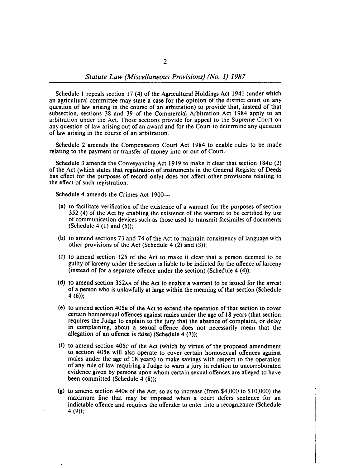Schedule 1 repeals section 17 (4) of the Agricultural Holdings Act 1941 (under which an agricultural committee may state a case for the opinion of the district court on any question of law arising in the course of an arbitration) to provide that, instead of that subsection, sections 38 and 39 of the Commercial Arbitration Act 1984 apply to an arbitration under the Act. Those sections provide for appeal to the Supreme Court on any question of law arising out of an award and for the Court to determine any question of law arising in the course of an arbitration.

Schedule 2 amends the Compensation Court Act 1984 to enable rules to be made relating to the payment or transfer of money into or out of Court.

Schedule 3 amends the Conveyancing Act 1919 to make it clear that section 1840 (2) of the Act (which states that registration of instruments in the General Register of Deeds has effect for the purposes of record only) does not affect other provisions relating to the effect of such registration.

Schedule 4 amends the Crimes Act 1900—

- (a) to facilitate verification of the existence of a warrant for the purposes of section 352 (4) of the Act by enabling the existence of the warrant to be certified by use of communication devices such as those used to transmit facsimiles of documents (Schedule 4  $(1)$  and  $(5)$ );
- (b) to amend sections 73 and 74 of the Act to maintain consistency of language with other provisions of the Act (Schedule 4  $(2)$  and  $(3)$ );
- (c) to amend section 125 of the Act to make it clear that a person deemed to be guilty of larceny under the section is liable to be indicted for the offence of larceny (instead of for a separate offence under the section) (Schedule  $4(4)$ );
- (d) to amend section 352AA of the Act to enable a warrant to be issued for the arrest of a person who is unlawfully at large within the meaning of that section (Schedule 4 (6);
- (e) to amend section 4058 of the Act to extend the operation of that section to cover certain homosexual offences against males under the age of 18 years (that section requires the Judge to explain to the jury that the absence of complaint, or delay in complaining, about a sexual offence does not necessarily mean that the allegation of an offence is false) (Schedule 4  $(7)$ );
- (1) to amend section 405c of the Act (which by virtue of the proposed amendment to section 4058 will also operate to cover certain homosexual offences against males under the age of 18 years) to make savings with respect to the operation of any rule of law requiring a Judge to warn a jury in relation to uncorroborated evidence given by persons upon whom certain sexual offences are alleged to have been committed (Schedule 4 (8));
- (g) to amend section 4408 of the Act, so as to increase (from \$4,000 to \$10,000) the maximum fine that may be imposed when a court defers sentence for an indictable offence and requires the offender to enter into a recognizance (Schedule 4 (9));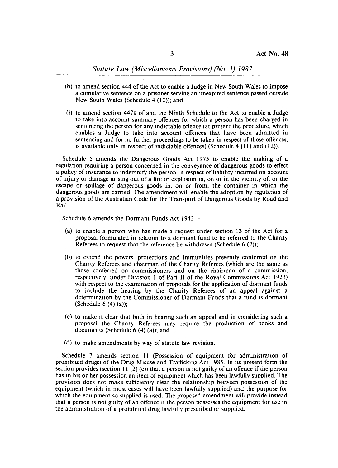- (h) to amend section 444 of the Act to enable a Judge in New South Wales to impose a cumulative sentence on a prisoner serving an unexpired sentence passed outside New South Wales (Schedule 4 (10)); and
- (i) to amend section 447B of and the Ninth Schedule to the Act to enable a Judge to take into account summary offences for which a person has been charged in sentencing the person for any indictable offence (at present the procedure, which enables a Judge to take into account offences that have been admitted in sentencing and for no further proceedings to be taken in respect of those offences, is available only in respect of indictable offences) (Schedule 4 (11) and (12».

Schedule 5 amends the Dangerous Goods Act 1975 to enable the making of a regulation requiring a person concerned in the conveyance of dangerous goods to effect a policy of insurance to indemnify the person in respect of liability incurred on account of injury or damage arising out of a fire or explosion in, on or in the vicinity of, or the escape or spillage of dangerous goods in, on or from, the container in which the dangerous goods are carried. The amendment will enable the adoption by regulation of a provision of the Australian Code for the Transport of Dangerous Goods by Road and Rail.

Schedule 6 amends the Dormant Funds Act 1942-

- (a) to enable a person who has made a request under section 13 of the Act for a proposal formulated in relation to a dormant fund to be referred to the Charity Referees to request that the reference be withdrawn (Schedule  $6$  (2));
- (b) to extend the powers, protections and immunities presently conferred on the Charity Referees and chairman of the Charity Referees (which are the same as those conferred on commissioners and on the chairman of a commission, respectively, under Division 1 of Part II of the Royal Commissions Act 1923) with respect to the examination of proposals for the application of dormant funds to include the hearing by the Charity Referees of an appeal against a determination by the Commissioner of Dormant Funds that a fund is dormant (Schedule 6 (4) (a));
- (c) to make it clear that both in hearing such an appeal and in considering such a proposal the Charity Referees may require the production of books and documents (Schedule  $6$  (4) (a)); and
- (d) to make amendments by way of statute law revision.

Schedule 7 amends section 11 (Possession of equipment for administration of prohibited drugs) of the Drug Misuse and Trafficking Act 1985. In its present form the section provides (section 11 (2) (e)) that a person is not guilty of an offence if the person has in his or her possession an item of equipment which has been lawfully supplied. The provision does not make sufficiently clear the relationship between possession of the equipment (which in most cases will have been lawfully supplied) and the purpose for which the equipment so supplied is used. The proposed amendment will provide instead that a person is not guilty of an offence if the person possesses the equipment for use in the administration of a prohibited drug lawfully prescribed or supplied.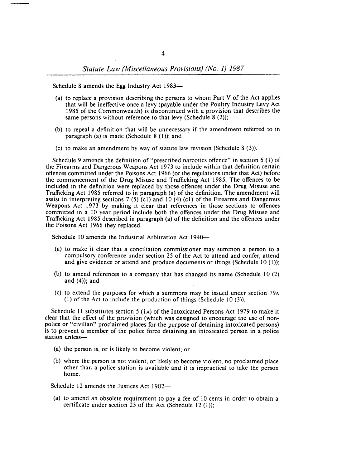Schedule 8 amends the Egg Industry Act 1983-

- (a) to replace a provision describing the persons to whom Part V of the Act applies that will be ineffective once a levy (payable under the Poultry Industry Levy Act 1985 of the Commonwealth) is discontinued with a provision that describes the same persons without reference to that levy (Schedule  $8(2)$ );
- (b) to repeal a definition that will be unnecessary if the amendment referred to in paragraph (a) is made (Schedule  $8(1)$ ); and
- (c) to make an amendment by way of statute law revision (Schedule  $8(3)$ ).

Schedule 9 amends the definition of "prescribed narcotics offence" in section 6 (I) of the Firearms and Dangerous Weapons Act 1973 to include within that definition certain offences committed under the Poisons Act 1966 (or the regulations under that Act) before the commencement of the Drug Misuse and Trafficking Act 1985. The offences to be included in the definition were replaced by those offences under the Drug Misuse and Trafficking Act 1985 referred to in paragraph (a) of the definition. The amendment will assist in interpreting sections 7 (5) (c1) and 10 (4) (c1) of the Firearms and Dangerous Weapons Act 1973 by making it clear that references in those sections to offences committed in a 10 year period include both the offences under the Drug Misuse and Trafficking Act 1985 described in paragraph (a) of the definition and the offences under the Poisons Act 1966 they replaced.

Schedule 10 amends the Industrial Arbitration Act 1940-

- (a) to make it clear that a conciliation commissioner may summon a person to a compulsory conference under section 25 of the Act to attend and confer, attend and give evidence or attend and produce documents or things (Schedule 10  $(1)$ );
- (b) to amend references to a company that has changed its name (Schedule 10 (2) and  $(4)$ ; and
- (c) to extend the purposes for which a summons may be issued under section 79A  $(1)$  of the Act to include the production of things (Schedule 10 (3)).

Schedule **II** substitutes section 5 (lA) of the Intoxicated Persons Act 1979 to make it clear that the effect of the provision (which was designed to encourage the use of nonpolice or "civilian" proclaimed places for the purpose of detaining intoxicated persons) is to prevent a member of the police force detaining an intoxicated person in a police station unless-

- (a) the person is, or is likely to become violent; or
- (b) where the person is not violent, or likely to become violent, no proclaimed place other than a police station is available and it is impractical to take the person home.

Schedule 12 amends the Justices Act 1902—

(a) to amend an obsolete requirement to pay a fee of 10 cents in order to obtain a certificate under section 25 of the Act (Schedule 12 $(1)$ );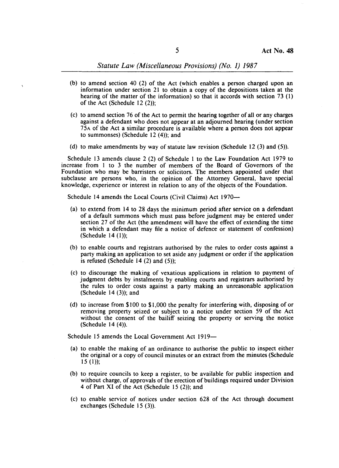- (b) to amend section 40 (2) of the Act (which enables a person charged upon an information under section 21 to obtain a copy of the depositions taken at the hearing of the matter of the information) so that it accords with section 73 (1) of the Act (Schedule  $12(2)$ );
- (c) to amend section 76 of the Act to permit the hearing together of all or any charges against a defendant who does not appear at an adjourned hearing (under section 75A of the Act a similar procedure is available where a person does not appear to summonses) (Schedule  $12(4)$ ); and
- (d) to make amendments by way of statute law revision (Schedule 12  $(3)$  and  $(5)$ ).

Schedule 13 amends clause 2 (2) of Schedule 1 to the Law Foundation Act 1979 to increase from I to 3 the number of members of the Board of Governors of the Foundation who may be barristers or solicitors. The members appointed under that subclause are persons who, in the opinion of the Attorney General, have special knowledge, experience or interest in relation to any of the objects of the Foundation.

Schedule 14 amends the Local Courts (Civil Claims) Act 1970-

- (a) to extend from 14 to 28 days the minimum period after service on a defendant of a default summons which must pass before judgment may be entered under section 27 of the Act (the amendment will have the effect of extending the time in which a defendant may file a notice of defence or statement of confession) (Schedule  $14$   $(1)$ );
- (b) to enable courts and registrars authorised by the rules to order costs against a party making an application to set aside any judgment or order if the application is refused (Schedule 14  $(2)$  and  $(5)$ );
- (c) to discourage the making of vexatious applications in relation to payment of judgment debts by instalments by enabling courts and registrars authorised by the rules to order costs against a party making an unreasonable application (Schedule  $14$  (3)); and
- (d) to increase from \$100 to \$1,000 the penalty for interfering with, disposing of or removing property seized or subject to a notice under section 59 of the Act without the consent of the bailiff seizing the property or serving the notice (Schedule 14 (4)).

Schedule 15 amends the Local Government Act 1919-

- (a) to enable the making of an ordinance to authorise the public to inspect either the original or a copy of council minutes or an extract from the minutes (Schedule  $15(1)$ ;
- (b) to require councils to keep a register, to be available for public inspection and without charge, of approvals of the erection of buildings required under Division 4 of Part XI of the Act (Schedule 15 (2)); and
- (c) to enable service of notices under section 628 of the Act through document exchanges (Schedule 15 (3)).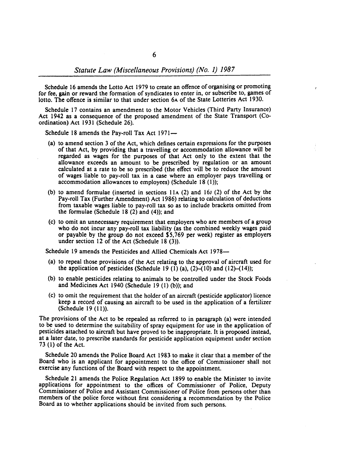Schedule 16 amends the Lotto Act 1979 to create an offence of organising or promoting for fee, gain or reward the formation of syndicates to enter in, or subscribe to, games of lotto. The offence is similar to that under section 6A of the State Lotteries Act 1930.

Schedule 17 contains an amendment to the Motor Vehicles (Third Party Insurance) Act 1942 as a consequence of the proposed amendment of the State Transport (Coordination) Act 1931 (Schedule 26).

Schedule 18 amends the Pay-roll Tax Act 1971-

- (a) to amend section 3 of the Act, which defines certain expressions for the purposes of that Act, by providing that a travelling or accommodation allowance will be regarded as wages for the purposes of that Act only to the extent that the allowance exceeds an amount to be prescribed by regulation or an amount calculated at a rate to be so prescribed (the effect will be to reduce the amount of wages liable to pay-roll tax in a case where an employer pays travelling or accommodation allowances to employees) (Schedule  $18(1)$ );
- (b) to amend formulae (inserted in sections  $11A$  (2) and  $16J$  (2) of the Act by the Pay-roll Tax (Further Amendment) Act 1986) relating to calculation of deductions from taxable wages liable to pay-roll tax so as to include brackets omitted from the formulae (Schedule 18 $(2)$  and  $(4)$ ); and
- (c) to omit an unnecessary requirement that employers who are members of a group who do not incur any pay-roll tax liability (as the combined weekly wages paid or payable by the group do not exceed SS,769 per week) register as employers under section 12 of the Act (Schedule 18  $(3)$ ).

Schedule 19 amends the Pesticides and Allied Chemicals Act 1978-

- (a) to repeal those provisions of the Act relating to the approval of aircraft used for the application of pesticides (Schedule 19 (1) (a),  $(2)$ – $(10)$  and  $(12)$ – $(14)$ );
- (b) to enable pesticides relating to animals to be controlled under the Stock Foods and Medicines Act 1940 (Schedule 19 $(1)$  (b)); and
- (c) to omit the requirement that the holder of an aircraft (pesticide applicator) licence keep a record of causing an aircraft to be used in the application of a fertilizer (Schedule 19 (11».

The provisions of the Act to be repealed as referred to in paragraph (a) were intended to be used to determine the suitability of spray equipment for use in the application of pesticides attached to aircraft but have proved to be inappropriate. It is proposed instead, at a later date, to prescribe standards for pesticide application equipment under section 73 (I) of the Act.

Schedule 20 amends the Police Board Act 1983 to make it clear that a member of the Board who is an applicant for appointment to the office of Commissioner shall not exercise any functions of the Board with respect to the appointment.

Schedule 21 amends the Police Regulation Act 1899 to enable the Minister to invite applications for appointment to the offices of Commissioner of Police, Deputy Commissioner of Police and Assistant Commissioner of Police from persons other than members of the police force without first considering a recommendation by the Police Board as to whether applications should be invited from such persons.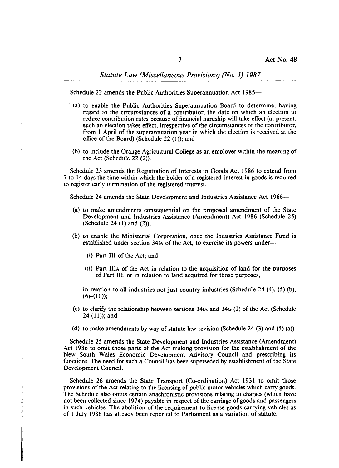Schedule 22 amends the Public Authorities Superannuation Act 1985-

- (a) to enable the Public Authorities Superannuation Board to determine, having regard to the circumstances of a contributor, the date on which an election to reduce contribution rates because of financial hardship will take effect (at present, such an election takes effect, irrespective of the circumstances of the contributor, from I April of the superannuation year in which the election is received at the office of the Board) (Schedule 22 (1)); and
- (b) to include the Orange Agricultural College as an employer within the meaning of the Act (Schedule  $22$  (2)).

Schedule 23 amends the Registration of Interests in Goods Act 1986 to extend from 7 to 14 days the time within which the holder of a registered interest in goods is required to register early termination of the registered interest.

Schedule 24 amends the State Development and Industries Assistance Act 1966-

- (a) to make amendments consequential on the proposed amendment of the State Development and Industries Assistance (Amendment) Act 1986 (Schedule 25) (Schedule 24 (1) and  $(2)$ );
- (b) to enable the Ministerial Corporation, once the Industries Assistance Fund is established under section 34IA of the Act, to exercise its powers under-
	- (i) Part III of the Act; and
	- (ii) Part IlIA of the Act in relation to the acquisition of land for the purposes of Part Ill, or in relation to land acquired for those purposes,

in relation to all industries not just country industries (Schedule 24 (4), (5) (b),  $(6)-(10);$ 

- (c) to clarify the relationship between sections 34IA and 340 (2) of the Act (Schedule 24 (11)); and
- (d) to make amendments by way of statute law revision (Schedule 24  $(3)$  and  $(5)$   $(a)$ ).

Schedule 25 amends the State Development and Industries Assistance (Amendment) Act 1986 to omit those parts of the Act making provision for the establishment of the New South Wales Economic Development Advisory Council and prescribing its functions. The need for such a Council has been superseded by establishment of the State Development Council.

Schedule 26 amends the State Transport (Co-ordination) Act 1931 to omit those provisions of the Act relating to the licensing of public motor vehicles which carry goods. The Schedule also omits certain anachronistic provisions relating to charges (which have not been collected since 1974) payable in respect of the carriage of goods and passengers in such vehicles. The abolition of the requirement to license goods carrying vehicles as of I July 1986 has already been reported to Parliament as a variation of statute.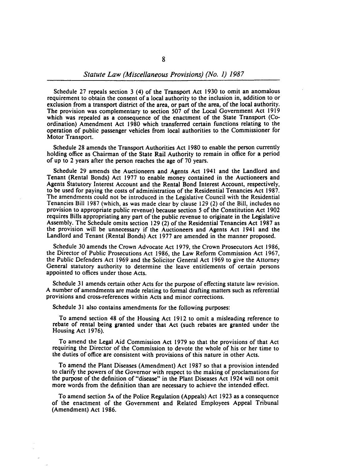Schedule 27 repeals section 3 (4) of the Transport Act 1930 to omit an anomalous requirement to obtain the consent of a local authority to the inclusion in, addition to or exclusion from a transport district of the area, or part of the area, of the local authority. The provision was complementary to section 507 of the Local Government Act 1919 which was repealed as a consequence of the enactment of the State Transport (Coordination) Amendment Act 1980 which transferred certain functions relating to the operation of public passenger vehicles from local authorities to the Commissioner for Motor Transport.

Schedule 28 amends the Transport Authorities Act 1980 to enable the person currently holding office as Chairman of the State Rail Authority to remain in office for a period of up to 2 years after the person reaches the age of 70 years.

Schedule 29 amends the Auctioneers and Agents Act 1941 and the Landlord and Tenant (Rental Bonds) Act 1977 to enable money contained in the Auctioneers and Agents Statutory Interest Account and the Rental Bond Interest Account, respectively, to be used for paying the costs of administration of the Residential Tenancies Act 1987. The amendments could not be introduced in the Legislative Council with the Residential Tenancies Bill 1987 (which, as was made clear by clause 129 (2) of the Bill, includes no provision to appropriate public revenue) because section 5 of the Constitution Act 1902 requires Bills appropriating any part of the public revenue to originate in the Legislative Assembly. The Schedule omits section 129 (2) of the Residential Tenancies Act 1987 as the provision will be unnecessary if the Auctioneers and Agents Act 1941 and the Landlord and Tenant (Rental Bonds) Act 1977 are amended in the manner proposed.

Schedule 30 amends the Crown Advocate Act 1979, the Crown Prosecutors Act 1986, the Director of Public Prosecutions Act 1986, the Law Reform Commission Act 1967, the Public Defenders Act 1969 and the Solicitor General Act 1969 to give the Attorney General statutory authority to determine the leave entitlements of certain persons appointed to offices under those Acts.

Schedule 31 amends certain other Acts for the purpose of effecting statute law revision. A number of amendments are made relating to formal drafting matters such as referential provisions and cross-references within Acts and minor corrections.

Schedule 31 also contains amendments for the following purposes:

To amend section 48 of the Housing Act 1912 to omit a misleading reference to rebate of rental being granted under that Act (such rebates are granted under the Housing Act 1976).

To amend the Legal Aid Commission Act 1979 so that the provisions of that Act requiring the Director of the Commission to devote the whole of his or her time to the duties of office are consistent with provisions of this nature in other Acts.

To amend the Plant Diseases (Amendment) Act 1987 so that a provision intended to clarify the powers of the Governor with respect to the making of proclamations for the purpose of the definition of "disease" in the Plant Diseases Act 1924 will not omit more words from the definition than are necessary to achieve the intended effect.

To amend section 5A of the Police Regulation (Appeals) Act 1923 as a consequence of the enactment of the Government and Related Employees Appeal Tribunal (Amendment) Act 1986.